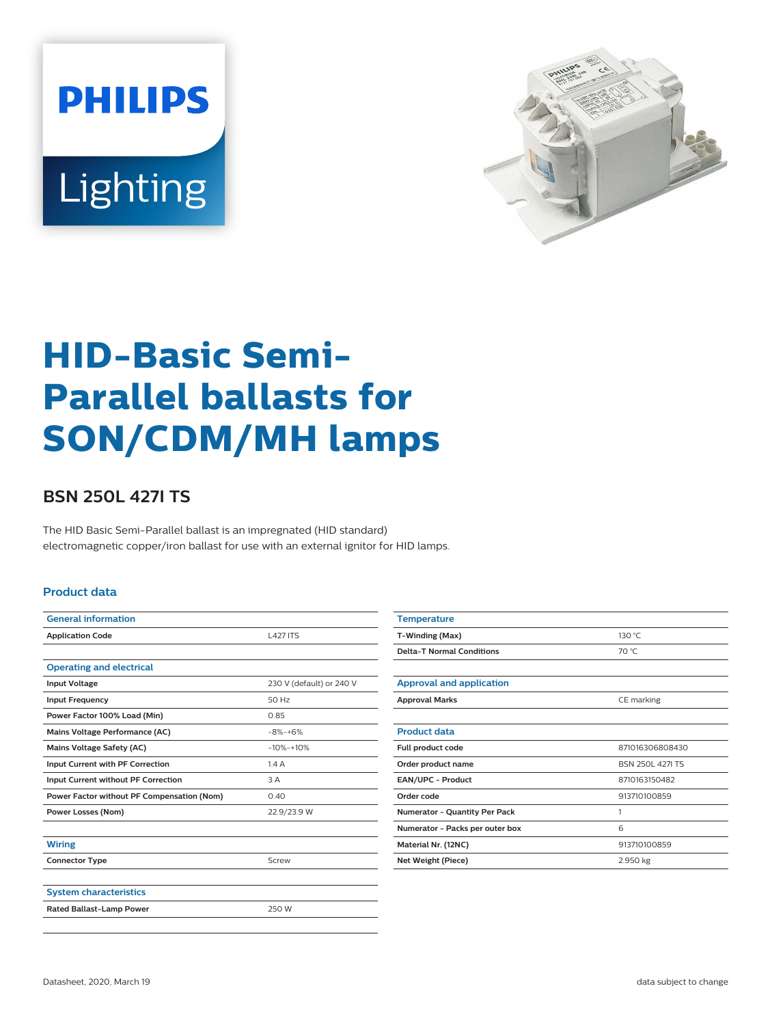



# **HID-Basic Semi-Parallel ballasts for SON/CDM/MH lamps**

## **BSN 250L 427I TS**

The HID Basic Semi-Parallel ballast is an impregnated (HID standard) electromagnetic copper/iron ballast for use with an external ignitor for HID lamps.

#### **Product data**

| <b>General information</b>                 |                          |  |  |
|--------------------------------------------|--------------------------|--|--|
| <b>Application Code</b>                    | <b>L427 ITS</b>          |  |  |
|                                            |                          |  |  |
| <b>Operating and electrical</b>            |                          |  |  |
| <b>Input Voltage</b>                       | 230 V (default) or 240 V |  |  |
| <b>Input Frequency</b>                     | 50 Hz                    |  |  |
| Power Factor 100% Load (Min)               | 0.85                     |  |  |
| Mains Voltage Performance (AC)             | $-8% -+6%$               |  |  |
| <b>Mains Voltage Safety (AC)</b>           | $-10% -10%$              |  |  |
| Input Current with PF Correction           | 1.4A                     |  |  |
| Input Current without PF Correction        | 3 A                      |  |  |
| Power Factor without PF Compensation (Nom) | 0.40                     |  |  |
| <b>Power Losses (Nom)</b>                  | 22.9/23.9 W              |  |  |
|                                            |                          |  |  |
| <b>Wiring</b>                              |                          |  |  |
| <b>Connector Type</b>                      | Screw                    |  |  |
|                                            |                          |  |  |
| <b>System characteristics</b>              |                          |  |  |
| <b>Rated Ballast-Lamp Power</b>            | 250 W                    |  |  |
|                                            |                          |  |  |

| <b>Temperature</b>               |                        |  |  |
|----------------------------------|------------------------|--|--|
| T-Winding (Max)                  | 130 °C                 |  |  |
| <b>Delta-T Normal Conditions</b> | 70 °C                  |  |  |
|                                  |                        |  |  |
| <b>Approval and application</b>  |                        |  |  |
| <b>Approval Marks</b>            | CE marking             |  |  |
|                                  |                        |  |  |
| <b>Product data</b>              |                        |  |  |
| Full product code                | 871016306808430        |  |  |
| Order product name               | <b>BSN 250L 427LTS</b> |  |  |
| EAN/UPC - Product                | 8710163150482          |  |  |
| Order code                       | 913710100859           |  |  |
| Numerator - Quantity Per Pack    | 1                      |  |  |
| Numerator - Packs per outer box  | 6                      |  |  |
| Material Nr. (12NC)              | 913710100859           |  |  |
| Net Weight (Piece)<br>2.950 kg   |                        |  |  |
|                                  |                        |  |  |